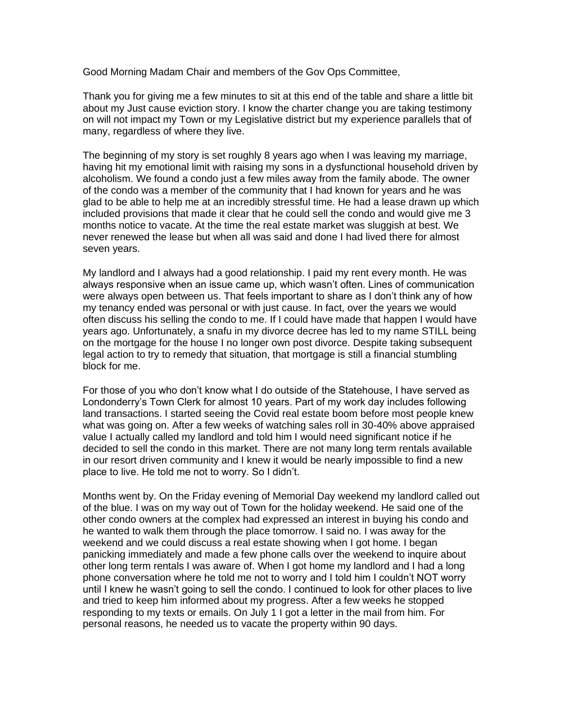Good Morning Madam Chair and members of the Gov Ops Committee,

Thank you for giving me a few minutes to sit at this end of the table and share a little bit about my Just cause eviction story. I know the charter change you are taking testimony on will not impact my Town or my Legislative district but my experience parallels that of many, regardless of where they live.

The beginning of my story is set roughly 8 years ago when I was leaving my marriage, having hit my emotional limit with raising my sons in a dysfunctional household driven by alcoholism. We found a condo just a few miles away from the family abode. The owner of the condo was a member of the community that I had known for years and he was glad to be able to help me at an incredibly stressful time. He had a lease drawn up which included provisions that made it clear that he could sell the condo and would give me 3 months notice to vacate. At the time the real estate market was sluggish at best. We never renewed the lease but when all was said and done I had lived there for almost seven years.

My landlord and I always had a good relationship. I paid my rent every month. He was always responsive when an issue came up, which wasn't often. Lines of communication were always open between us. That feels important to share as I don't think any of how my tenancy ended was personal or with just cause. In fact, over the years we would often discuss his selling the condo to me. If I could have made that happen I would have years ago. Unfortunately, a snafu in my divorce decree has led to my name STILL being on the mortgage for the house I no longer own post divorce. Despite taking subsequent legal action to try to remedy that situation, that mortgage is still a financial stumbling block for me.

For those of you who don't know what I do outside of the Statehouse, I have served as Londonderry's Town Clerk for almost 10 years. Part of my work day includes following land transactions. I started seeing the Covid real estate boom before most people knew what was going on. After a few weeks of watching sales roll in 30-40% above appraised value I actually called my landlord and told him I would need significant notice if he decided to sell the condo in this market. There are not many long term rentals available in our resort driven community and I knew it would be nearly impossible to find a new place to live. He told me not to worry. So I didn't.

Months went by. On the Friday evening of Memorial Day weekend my landlord called out of the blue. I was on my way out of Town for the holiday weekend. He said one of the other condo owners at the complex had expressed an interest in buying his condo and he wanted to walk them through the place tomorrow. I said no. I was away for the weekend and we could discuss a real estate showing when I got home. I began panicking immediately and made a few phone calls over the weekend to inquire about other long term rentals I was aware of. When I got home my landlord and I had a long phone conversation where he told me not to worry and I told him I couldn't NOT worry until I knew he wasn't going to sell the condo. I continued to look for other places to live and tried to keep him informed about my progress. After a few weeks he stopped responding to my texts or emails. On July 1 I got a letter in the mail from him. For personal reasons, he needed us to vacate the property within 90 days.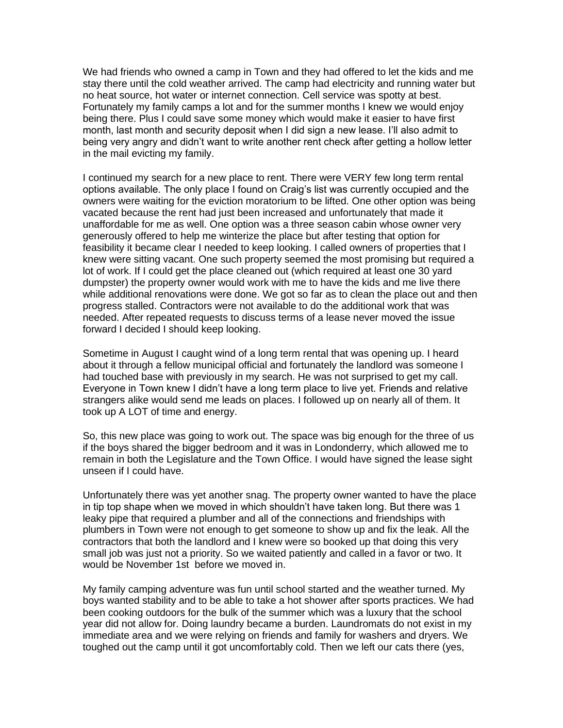We had friends who owned a camp in Town and they had offered to let the kids and me stay there until the cold weather arrived. The camp had electricity and running water but no heat source, hot water or internet connection. Cell service was spotty at best. Fortunately my family camps a lot and for the summer months I knew we would enjoy being there. Plus I could save some money which would make it easier to have first month, last month and security deposit when I did sign a new lease. I'll also admit to being very angry and didn't want to write another rent check after getting a hollow letter in the mail evicting my family.

I continued my search for a new place to rent. There were VERY few long term rental options available. The only place I found on Craig's list was currently occupied and the owners were waiting for the eviction moratorium to be lifted. One other option was being vacated because the rent had just been increased and unfortunately that made it unaffordable for me as well. One option was a three season cabin whose owner very generously offered to help me winterize the place but after testing that option for feasibility it became clear I needed to keep looking. I called owners of properties that I knew were sitting vacant. One such property seemed the most promising but required a lot of work. If I could get the place cleaned out (which required at least one 30 yard dumpster) the property owner would work with me to have the kids and me live there while additional renovations were done. We got so far as to clean the place out and then progress stalled. Contractors were not available to do the additional work that was needed. After repeated requests to discuss terms of a lease never moved the issue forward I decided I should keep looking.

Sometime in August I caught wind of a long term rental that was opening up. I heard about it through a fellow municipal official and fortunately the landlord was someone I had touched base with previously in my search. He was not surprised to get my call. Everyone in Town knew I didn't have a long term place to live yet. Friends and relative strangers alike would send me leads on places. I followed up on nearly all of them. It took up A LOT of time and energy.

So, this new place was going to work out. The space was big enough for the three of us if the boys shared the bigger bedroom and it was in Londonderry, which allowed me to remain in both the Legislature and the Town Office. I would have signed the lease sight unseen if I could have.

Unfortunately there was yet another snag. The property owner wanted to have the place in tip top shape when we moved in which shouldn't have taken long. But there was 1 leaky pipe that required a plumber and all of the connections and friendships with plumbers in Town were not enough to get someone to show up and fix the leak. All the contractors that both the landlord and I knew were so booked up that doing this very small job was just not a priority. So we waited patiently and called in a favor or two. It would be November 1st before we moved in.

My family camping adventure was fun until school started and the weather turned. My boys wanted stability and to be able to take a hot shower after sports practices. We had been cooking outdoors for the bulk of the summer which was a luxury that the school year did not allow for. Doing laundry became a burden. Laundromats do not exist in my immediate area and we were relying on friends and family for washers and dryers. We toughed out the camp until it got uncomfortably cold. Then we left our cats there (yes,